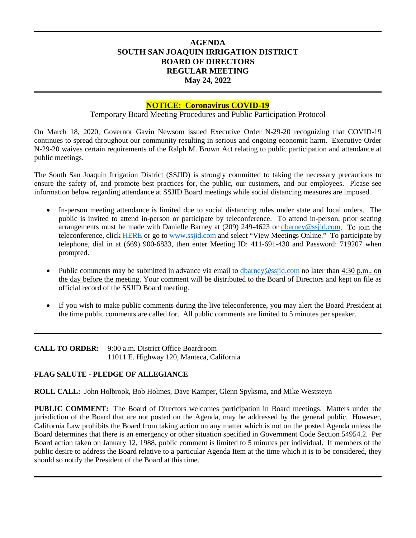# **AGENDA SOUTH SAN JOAQUIN IRRIGATION DISTRICT BOARD OF DIRECTORS REGULAR MEETING May 24, 2022**

## **NOTICE: Coronavirus COVID-19**

Temporary Board Meeting Procedures and Public Participation Protocol

On March 18, 2020, Governor Gavin Newsom issued Executive Order N-29-20 recognizing that COVID-19 continues to spread throughout our community resulting in serious and ongoing economic harm. Executive Order N-29-20 waives certain requirements of the Ralph M. Brown Act relating to public participation and attendance at public meetings.

The South San Joaquin Irrigation District (SSJID) is strongly committed to taking the necessary precautions to ensure the safety of, and promote best practices for, the public, our customers, and our employees. Please see information below regarding attendance at SSJID Board meetings while social distancing measures are imposed.

- In-person meeting attendance is limited due to social distancing rules under state and local orders. The public is invited to attend in-person or participate by teleconference. To attend in-person, prior seating arrangements must be made with Danielle Barney at (209) 249-4623 or [dbarney@ssjid.com.](mailto:dbarney@ssjid.com) To join the teleconference, click [HERE](https://zoom.us/j/411691430?status=success) or go to [www.ssjid.com](http://www.ssjid.com/) and select "View Meetings Online." To participate by telephone, dial in at (669) 900-6833, then enter Meeting ID: 411-691-430 and Password: 719207 when prompted.
- Public comments may be submitted in advance via email to [dbarney@ssjid.com](mailto:dbarney@ssjid.com) no later than 4:30 p.m., on the day before the meeting. Your comment will be distributed to the Board of Directors and kept on file as official record of the SSJID Board meeting.
- If you wish to make public comments during the live teleconference, you may alert the Board President at the time public comments are called for. All public comments are limited to 5 minutes per speaker.

**CALL TO ORDER:** 9:00 a.m. District Office Boardroom 11011 E. Highway 120, Manteca, California

## **FLAG SALUTE - PLEDGE OF ALLEGIANCE**

**ROLL CALL:** John Holbrook, Bob Holmes, Dave Kamper, Glenn Spyksma, and Mike Weststeyn

**PUBLIC COMMENT:** The Board of Directors welcomes participation in Board meetings. Matters under the jurisdiction of the Board that are not posted on the Agenda, may be addressed by the general public. However, California Law prohibits the Board from taking action on any matter which is not on the posted Agenda unless the Board determines that there is an emergency or other situation specified in Government Code Section 54954.2. Per Board action taken on January 12, 1988, public comment is limited to 5 minutes per individual. If members of the public desire to address the Board relative to a particular Agenda Item at the time which it is to be considered, they should so notify the President of the Board at this time.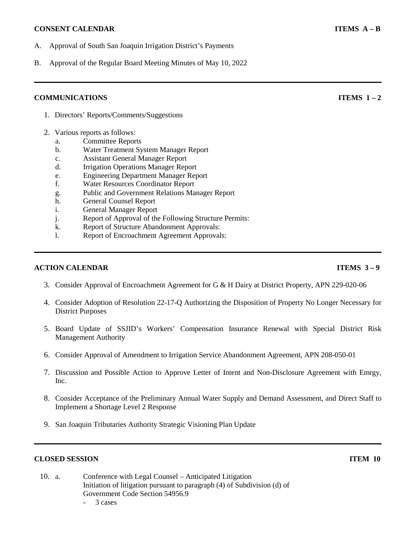### **CONSENT CALENDAR ITEMS A** – **B**

- A. Approval of South San Joaquin Irrigation District's Payments
- B. Approval of the Regular Board Meeting Minutes of May 10, 2022

## **COMMUNICATIONS ITEMS** 1 – 2

- 1. Directors' Reports/Comments/Suggestions
- 2. Various reports as follows:
	- a. Committee Reports
	- b. Water Treatment System Manager Report
	- c. Assistant General Manager Report
	- d. Irrigation Operations Manager Report
	- e. Engineering Department Manager Report
	- f. Water Resources Coordinator Report
	- g. Public and Government Relations Manager Report
	- h. General Counsel Report
	- i. General Manager Report
	- j. Report of Approval of the Following Structure Permits:
	- k. Report of Structure Abandonment Approvals:
	- l. Report of Encroachment Agreement Approvals:

### **ACTION CALENDAR ITEMS** 3 – 9

- 3. Consider Approval of Encroachment Agreement for G & H Dairy at District Property, APN 229-020-06
- 4. Consider Adoption of Resolution 22-17-Q Authorizing the Disposition of Property No Longer Necessary for District Purposes
- 5. Board Update of SSJID's Workers' Compensation Insurance Renewal with Special District Risk Management Authority
- 6. Consider Approval of Amendment to Irrigation Service Abandonment Agreement, APN 208-050-01
- 7. Discussion and Possible Action to Approve Letter of Intent and Non-Disclosure Agreement with Emrgy, Inc.
- 8. Consider Acceptance of the Preliminary Annual Water Supply and Demand Assessment, and Direct Staff to Implement a Shortage Level 2 Response
- 9. San Joaquin Tributaries Authority Strategic Visioning Plan Update

## **CLOSED SESSION ITEM 10**

- 10. a. Conference with Legal Counsel Anticipated Litigation Initiation of litigation pursuant to paragraph (4) of Subdivision (d) of Government Code Section 54956.9
	- 3 cases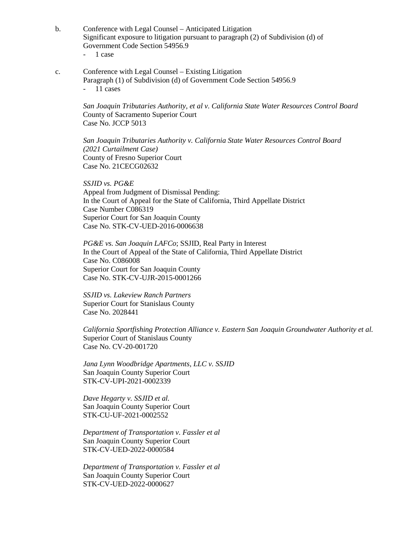- b. Conference with Legal Counsel Anticipated Litigation Significant exposure to litigation pursuant to paragraph (2) of Subdivision (d) of Government Code Section 54956.9 - 1 case
	-
- c. Conference with Legal Counsel Existing Litigation Paragraph (1) of Subdivision (d) of Government Code Section 54956.9 - 11 cases

*San Joaquin Tributaries Authority, et al v. California State Water Resources Control Board* County of Sacramento Superior Court Case No. JCCP 5013

*San Joaquin Tributaries Authority v. California State Water Resources Control Board (2021 Curtailment Case)* County of Fresno Superior Court Case No. 21CECG02632

*SSJID vs. PG&E* Appeal from Judgment of Dismissal Pending: In the Court of Appeal for the State of California, Third Appellate District Case Number C086319 Superior Court for San Joaquin County Case No. STK-CV-UED-2016-0006638

*PG&E vs. San Joaquin LAFCo*; SSJID, Real Party in Interest In the Court of Appeal of the State of California, Third Appellate District Case No. C086008 Superior Court for San Joaquin County Case No. STK-CV-UJR-2015-0001266

*SSJID vs. Lakeview Ranch Partners* Superior Court for Stanislaus County Case No. 2028441

*California Sportfishing Protection Alliance v. Eastern San Joaquin Groundwater Authority et al.* Superior Court of Stanislaus County Case No. CV-20-001720

*Jana Lynn Woodbridge Apartments, LLC v. SSJID* San Joaquin County Superior Court STK-CV-UPI-2021-0002339

*Dave Hegarty v. SSJID et al.* San Joaquin County Superior Court STK-CU-UF-2021-0002552

*Department of Transportation v. Fassler et al* San Joaquin County Superior Court STK-CV-UED-2022-0000584

*Department of Transportation v. Fassler et al* San Joaquin County Superior Court STK-CV-UED-2022-0000627